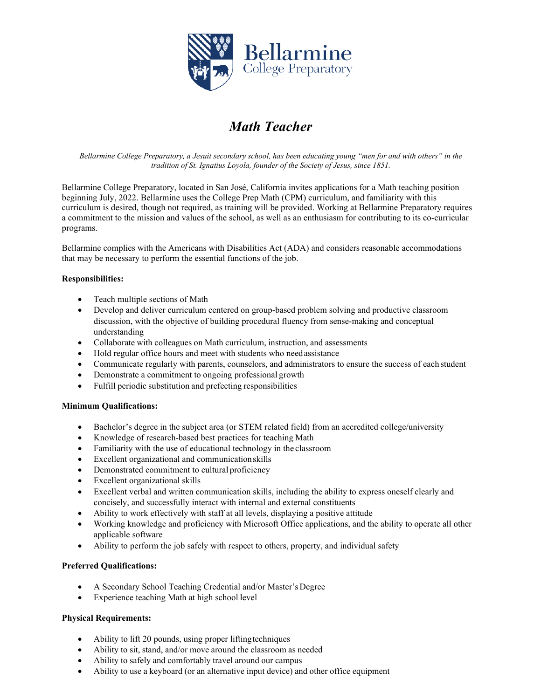

# *Math Teacher*

*Bellarmine College Preparatory, a Jesuit secondary school, has been educating young "men for and with others" in the tradition of St. Ignatius Loyola, founder of the Society of Jesus, since 1851.*

Bellarmine College Preparatory, located in San José, California invites applications for a Math teaching position beginning July, 2022. Bellarmine uses the College Prep Math (CPM) curriculum, and familiarity with this curriculum is desired, though not required, as training will be provided. Working at Bellarmine Preparatory requires a commitment to the mission and values of the school, as well as an enthusiasm for contributing to its co-curricular programs.

Bellarmine complies with the Americans with Disabilities Act (ADA) and considers reasonable accommodations that may be necessary to perform the essential functions of the job.

#### **Responsibilities:**

- Teach multiple sections of Math
- Develop and deliver curriculum centered on group-based problem solving and productive classroom discussion, with the objective of building procedural fluency from sense-making and conceptual understanding
- Collaborate with colleagues on Math curriculum, instruction, and assessments
- Hold regular office hours and meet with students who needassistance
- Communicate regularly with parents, counselors, and administrators to ensure the success of each student
- Demonstrate a commitment to ongoing professional growth
- Fulfill periodic substitution and prefecting responsibilities

## **Minimum Qualifications:**

- Bachelor's degree in the subject area (or STEM related field) from an accredited college/university
- Knowledge of research-based best practices for teaching Math
- Familiarity with the use of educational technology in the classroom
- Excellent organizational and communicationskills
- Demonstrated commitment to cultural proficiency
- Excellent organizational skills
- Excellent verbal and written communication skills, including the ability to express oneself clearly and concisely, and successfully interact with internal and external constituents
- Ability to work effectively with staff at all levels, displaying a positive attitude
- Working knowledge and proficiency with Microsoft Office applications, and the ability to operate all other applicable software
- Ability to perform the job safely with respect to others, property, and individual safety

## **Preferred Qualifications:**

- A Secondary School Teaching Credential and/or Master'sDegree
- Experience teaching Math at high school level

## **Physical Requirements:**

- Ability to lift 20 pounds, using proper liftingtechniques
- Ability to sit, stand, and/or move around the classroom as needed
- Ability to safely and comfortably travel around our campus
- Ability to use a keyboard (or an alternative input device) and other office equipment